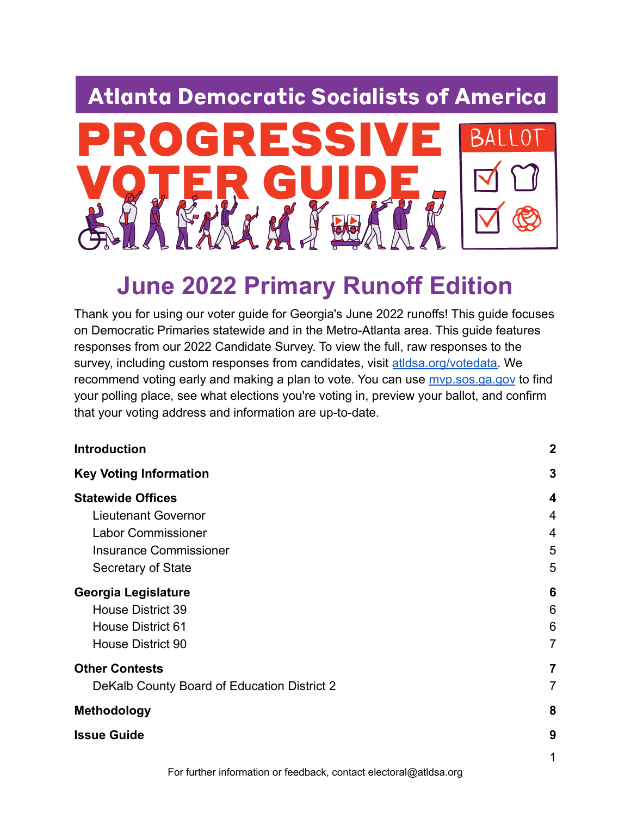## **Atlanta Democratic Socialists of America**



# **June 2022 Primary Runoff Edition**

Thank you for using our voter guide for Georgia's June 2022 runoffs! This guide focuses on Democratic Primaries statewide and in the Metro-Atlanta area. This guide features responses from our 2022 Candidate Survey. To view the full, raw responses to the survey, including custom responses from candidates, visit [atldsa.org/votedata.](http://atldsa.org/votedata) We recommend voting early and making a plan to vote. You can use [mvp.sos.ga.gov](http://mvp.sos.ga.gov) to find your polling place, see what elections you're voting in, preview your ballot, and confirm that your voting address and information are up-to-date.

| <b>Introduction</b>                         | $\mathbf 2$    |
|---------------------------------------------|----------------|
| <b>Key Voting Information</b>               | 3              |
| <b>Statewide Offices</b>                    | 4              |
| <b>Lieutenant Governor</b>                  | 4              |
| <b>Labor Commissioner</b>                   | 4              |
| <b>Insurance Commissioner</b>               | 5              |
| Secretary of State                          | 5              |
| Georgia Legislature                         | 6              |
| House District 39                           | 6              |
| <b>House District 61</b>                    | 6              |
| <b>House District 90</b>                    | $\overline{7}$ |
| <b>Other Contests</b>                       | 7              |
| DeKalb County Board of Education District 2 | 7              |
| <b>Methodology</b>                          | 8              |
| <b>Issue Guide</b>                          | 9              |
|                                             | 1              |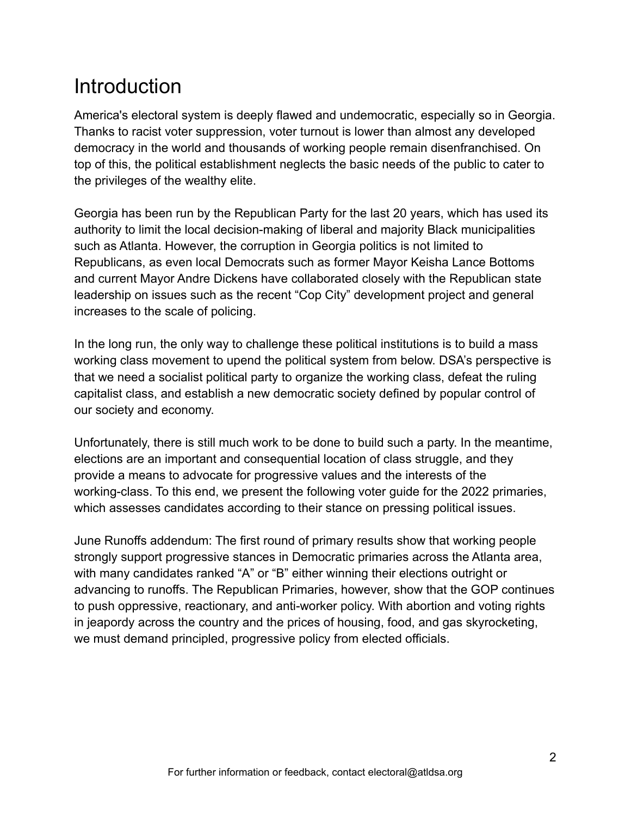## <span id="page-1-0"></span>**Introduction**

America's electoral system is deeply flawed and undemocratic, especially so in Georgia. Thanks to racist voter suppression, voter turnout is lower than almost any developed democracy in the world and thousands of working people remain disenfranchised. On top of this, the political establishment neglects the basic needs of the public to cater to the privileges of the wealthy elite.

Georgia has been run by the Republican Party for the last 20 years, which has used its authority to limit the local decision-making of liberal and majority Black municipalities such as Atlanta. However, the corruption in Georgia politics is not limited to Republicans, as even local Democrats such as former Mayor Keisha Lance Bottoms and current Mayor Andre Dickens have collaborated closely with the Republican state leadership on issues such as the recent "Cop City" development project and general increases to the scale of policing.

In the long run, the only way to challenge these political institutions is to build a mass working class movement to upend the political system from below. DSA's perspective is that we need a socialist political party to organize the working class, defeat the ruling capitalist class, and establish a new democratic society defined by popular control of our society and economy.

Unfortunately, there is still much work to be done to build such a party. In the meantime, elections are an important and consequential location of class struggle, and they provide a means to advocate for progressive values and the interests of the working-class. To this end, we present the following voter guide for the 2022 primaries, which assesses candidates according to their stance on pressing political issues.

June Runoffs addendum: The first round of primary results show that working people strongly support progressive stances in Democratic primaries across the Atlanta area, with many candidates ranked "A" or "B" either winning their elections outright or advancing to runoffs. The Republican Primaries, however, show that the GOP continues to push oppressive, reactionary, and anti-worker policy. With abortion and voting rights in jeapordy across the country and the prices of housing, food, and gas skyrocketing, we must demand principled, progressive policy from elected officials.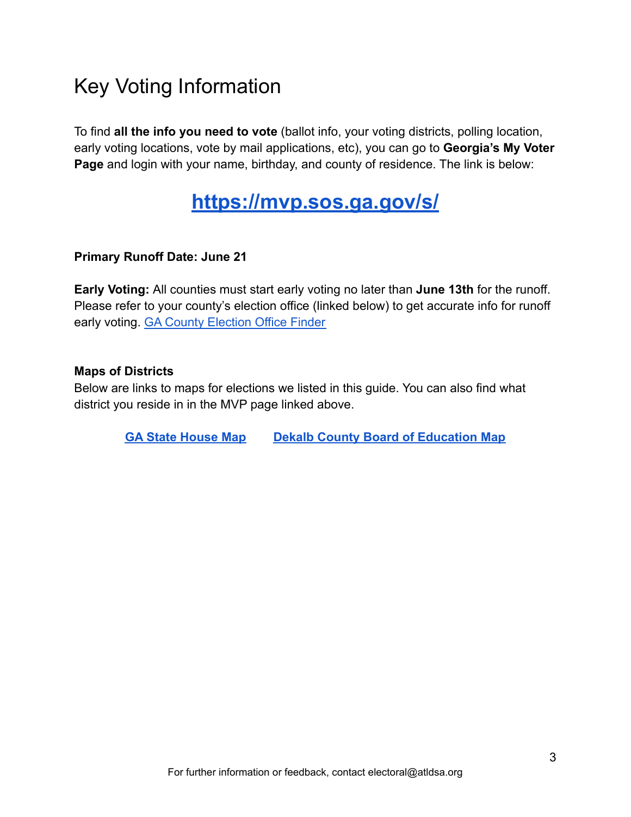## <span id="page-2-0"></span>Key Voting Information

To find **all the info you need to vote** (ballot info, your voting districts, polling location, early voting locations, vote by mail applications, etc), you can go to **Georgia's My Voter Page** and login with your name, birthday, and county of residence. The link is below:

### **<https://mvp.sos.ga.gov/s/>**

#### **Primary Runoff Date: June 21**

**Early Voting:** All counties must start early voting no later than **June 13th** for the runoff. Please refer to your county's election office (linked below) to get accurate info for runoff early voting. [GA County Election Office Finder](https://elections.sos.ga.gov/Elections/countyregistrars.do)

#### **Maps of Districts**

Below are links to maps for elections we listed in this guide. You can also find what district you reside in in the MVP page linked above.

**[GA State House Map](https://davesredistricting.org/maps#viewmap::041f73c7-8f4f-48c5-a5ff-cb059e692827) [Dekalb County Board of Education](https://www.dekalbcountyga.gov/sites/default/files/users/user3597/20220404_SchoolBoardDistricts.pdf) Map**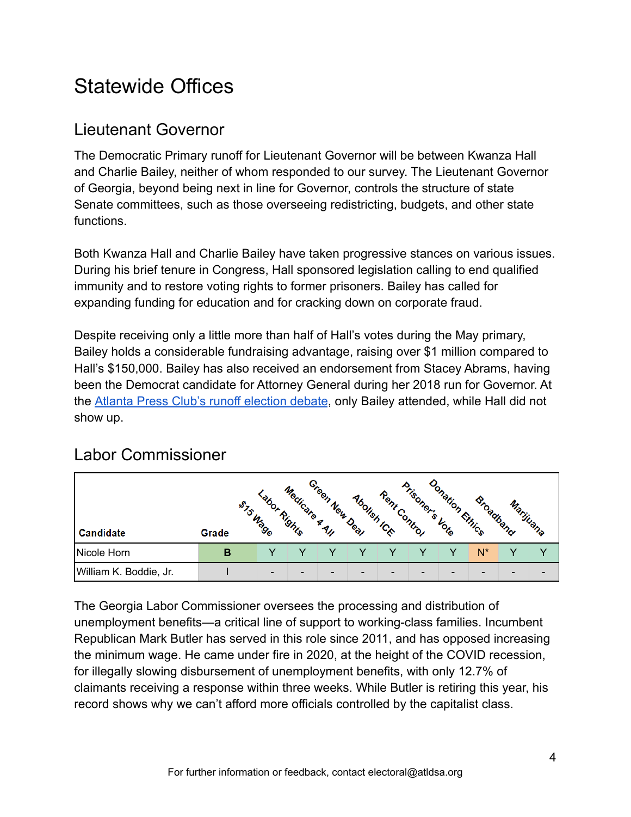## <span id="page-3-0"></span>Statewide Offices

### <span id="page-3-1"></span>Lieutenant Governor

The Democratic Primary runoff for Lieutenant Governor will be between Kwanza Hall and Charlie Bailey, neither of whom responded to our survey. The Lieutenant Governor of Georgia, beyond being next in line for Governor, controls the structure of state Senate committees, such as those overseeing redistricting, budgets, and other state functions.

Both Kwanza Hall and Charlie Bailey have taken progressive stances on various issues. During his brief tenure in Congress, Hall sponsored legislation calling to end qualified immunity and to restore voting rights to former prisoners. Bailey has called for expanding funding for education and for cracking down on corporate fraud.

Despite receiving only a little more than half of Hall's votes during the May primary, Bailey holds a considerable fundraising advantage, raising over \$1 million compared to Hall's \$150,000. Bailey has also received an endorsement from Stacey Abrams, having been the Democrat candidate for Attorney General during her 2018 run for Governor. At the [Atlanta Press Club's runoff election debate](https://saportareport.com/two-statewide-run-off-debates-feature-empty-podiums-for-no-show-candidates/sections/reports/maria_saporta/), only Bailey attended, while Hall did not show up.

|                        |       | Labor Rights<br>STS Wage | Medicare A All | Green New Deal           | Abolish ICk              | Rent Control | Prisoner's Vote          | Donation Ethics          | Broadband |                          | Marijuana |
|------------------------|-------|--------------------------|----------------|--------------------------|--------------------------|--------------|--------------------------|--------------------------|-----------|--------------------------|-----------|
| Candidate              | Grade |                          |                |                          |                          |              |                          |                          |           |                          |           |
| Nicole Horn            | в     |                          |                |                          |                          |              |                          |                          | N*        |                          |           |
| William K. Boddie, Jr. |       | $\overline{\phantom{a}}$ | -              | $\overline{\phantom{0}}$ | $\overline{\phantom{a}}$ | -            | $\overline{\phantom{0}}$ | $\overline{\phantom{0}}$ | -         | $\overline{\phantom{a}}$ | -         |

### <span id="page-3-2"></span>Labor Commissioner

The Georgia Labor Commissioner oversees the processing and distribution of unemployment benefits—a critical line of support to working-class families. Incumbent Republican Mark Butler has served in this role since 2011, and has opposed increasing the minimum wage. He came under fire in 2020, at the height of the COVID recession, for illegally slowing disbursement of unemployment benefits, with only 12.7% of claimants receiving a response within three weeks. While Butler is retiring this year, his record shows why we can't afford more officials controlled by the capitalist class.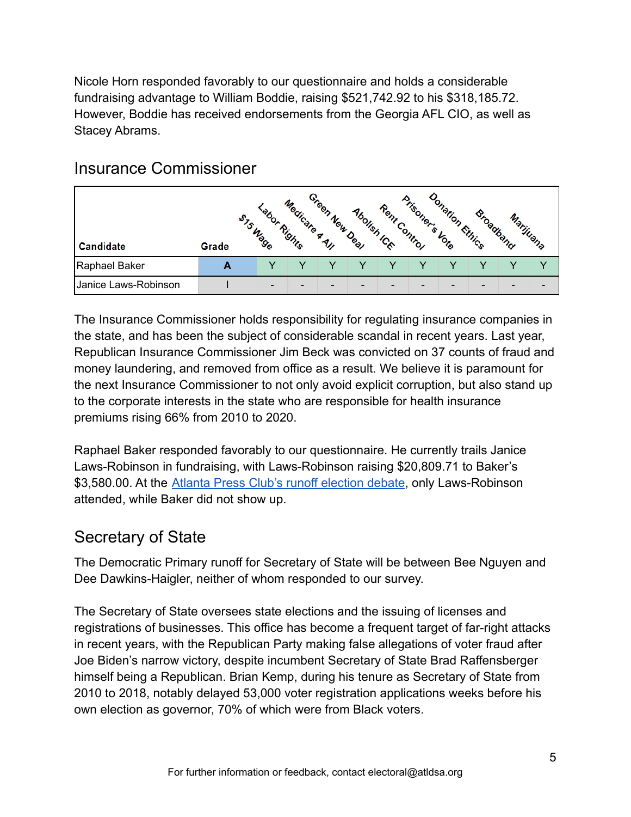Nicole Horn responded favorably to our questionnaire and holds a considerable fundraising advantage to William Boddie, raising \$521,742.92 to his \$318,185.72. However, Boddie has received endorsements from the Georgia AFL CIO, as well as Stacey Abrams.

|                      |       | Labor Rights<br>STS Wage | Medicare A All           | Green New Deal           | Abolish ICk              | Rent Control | Prisoner's Vote | Donation Ethics          | Broadband |                          | Marijuana                |
|----------------------|-------|--------------------------|--------------------------|--------------------------|--------------------------|--------------|-----------------|--------------------------|-----------|--------------------------|--------------------------|
| Candidate            | Grade |                          |                          |                          |                          |              |                 |                          |           |                          |                          |
| Raphael Baker        | A     |                          |                          |                          |                          |              |                 |                          |           |                          |                          |
| Janice Laws-Robinson |       | $\overline{\phantom{a}}$ | $\overline{\phantom{0}}$ | $\overline{\phantom{0}}$ | $\overline{\phantom{a}}$ | -            | -               | $\overline{\phantom{0}}$ | -         | $\overline{\phantom{0}}$ | $\overline{\phantom{0}}$ |

#### <span id="page-4-0"></span>Insurance Commissioner

The Insurance Commissioner holds responsibility for regulating insurance companies in the state, and has been the subject of considerable scandal in recent years. Last year, Republican Insurance Commissioner Jim Beck was convicted on 37 counts of fraud and money laundering, and removed from office as a result. We believe it is paramount for the next Insurance Commissioner to not only avoid explicit corruption, but also stand up to the corporate interests in the state who are responsible for health insurance premiums rising 66% from 2010 to 2020.

Raphael Baker responded favorably to our questionnaire. He currently trails Janice Laws-Robinson in fundraising, with Laws-Robinson raising \$20,809.71 to Baker's \$3,580.00. At the [Atlanta Press Club's runoff election](https://saportareport.com/two-statewide-run-off-debates-feature-empty-podiums-for-no-show-candidates/sections/reports/maria_saporta/) debate, only Laws-Robinson attended, while Baker did not show up.

### <span id="page-4-1"></span>Secretary of State

The Democratic Primary runoff for Secretary of State will be between Bee Nguyen and Dee Dawkins-Haigler, neither of whom responded to our survey.

The Secretary of State oversees state elections and the issuing of licenses and registrations of businesses. This office has become a frequent target of far-right attacks in recent years, with the Republican Party making false allegations of voter fraud after Joe Biden's narrow victory, despite incumbent Secretary of State Brad Raffensberger himself being a Republican. Brian Kemp, during his tenure as Secretary of State from 2010 to 2018, notably delayed 53,000 voter registration applications weeks before his own election as governor, 70% of which were from Black voters.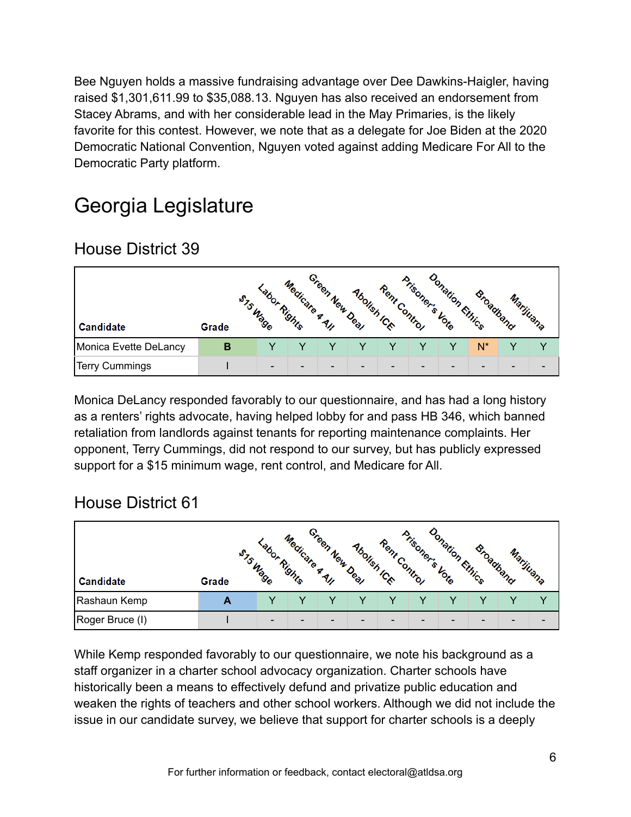Bee Nguyen holds a massive fundraising advantage over Dee Dawkins-Haigler, having raised \$1,301,611.99 to \$35,088.13. Nguyen has also received an endorsement from Stacey Abrams, and with her considerable lead in the May Primaries, is the likely favorite for this contest. However, we note that as a delegate for Joe Biden at the 2020 Democratic National Convention, Nguyen voted against adding Medicare For All to the Democratic Party platform.

## <span id="page-5-0"></span>Georgia Legislature

### <span id="page-5-1"></span>House District 39

|                       |       | Labor Rights<br>STS Wage | Medicare A All | Green New Deal | Abolish ICk              | Rent Control             | Prisoner's Vote          | onation Ethics | Broadband |                          | Marijuana |
|-----------------------|-------|--------------------------|----------------|----------------|--------------------------|--------------------------|--------------------------|----------------|-----------|--------------------------|-----------|
| Candidate             | Grade |                          |                |                |                          |                          |                          |                |           |                          |           |
| Monica Evette DeLancy | В     |                          |                |                |                          |                          |                          |                | N*        |                          |           |
| Terry Cummings        |       | $\overline{\phantom{a}}$ | -              | -              | $\overline{\phantom{0}}$ | $\overline{\phantom{0}}$ | $\overline{\phantom{a}}$ | -              | -         | $\overline{\phantom{0}}$ | -         |

Monica DeLancy responded favorably to our questionnaire, and has had a long history as a renters' rights advocate, having helped lobby for and pass HB 346, which banned retaliation from landlords against tenants for reporting maintenance complaints. Her opponent, Terry Cummings, did not respond to our survey, but has publicly expressed support for a \$15 minimum wage, rent control, and Medicare for All.

### <span id="page-5-2"></span>House District 61

| Candidate       | Grade | Labor Rights<br>STS Wage | Medicare A All | Green New Deal | Abolish ICk              | Rent Control | Prisoner's Vote | onation Ethics           | Broadband | Marijuana |                          |
|-----------------|-------|--------------------------|----------------|----------------|--------------------------|--------------|-----------------|--------------------------|-----------|-----------|--------------------------|
| Rashaun Kemp    | A     |                          |                |                |                          |              |                 |                          |           |           |                          |
| Roger Bruce (I) |       | $\overline{\phantom{a}}$ | -              | -              | $\overline{\phantom{0}}$ | -            | $\qquad \qquad$ | $\overline{\phantom{0}}$ | -         | -         | $\overline{\phantom{0}}$ |

While Kemp responded favorably to our questionnaire, we note his background as a staff organizer in a charter school advocacy organization. Charter schools have historically been a means to effectively defund and privatize public education and weaken the rights of teachers and other school workers. Although we did not include the issue in our candidate survey, we believe that support for charter schools is a deeply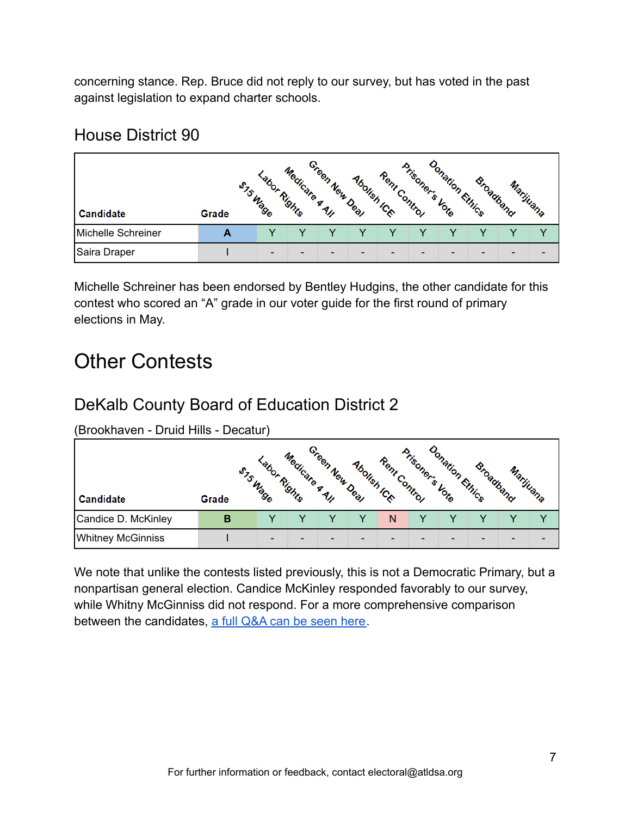concerning stance. Rep. Bruce did not reply to our survey, but has voted in the past against legislation to expand charter schools.

#### <span id="page-6-0"></span>House District 90

|                    |       | Labor Rights<br>STS Wage | Medicare A All | Green New Deal           | Abolish ICk              | Rent Control | Prisoner's Vote          | Donation Ethics          | Broadband |                          | Marijuana |
|--------------------|-------|--------------------------|----------------|--------------------------|--------------------------|--------------|--------------------------|--------------------------|-----------|--------------------------|-----------|
| Candidate          | Grade |                          |                |                          |                          |              |                          |                          |           |                          |           |
| Michelle Schreiner | А     |                          |                |                          |                          |              |                          |                          |           |                          | v         |
| Saira Draper       |       | $\overline{\phantom{a}}$ | -              | $\overline{\phantom{0}}$ | $\overline{\phantom{a}}$ | -            | $\overline{\phantom{0}}$ | $\overline{\phantom{0}}$ | -         | $\overline{\phantom{0}}$ | -         |

Michelle Schreiner has been endorsed by Bentley Hudgins, the other candidate for this contest who scored an "A" grade in our voter guide for the first round of primary elections in May.

## <span id="page-6-1"></span>Other Contests

### <span id="page-6-2"></span>DeKalb County Board of Education District 2

(Brookhaven - Druid Hills - Decatur)

|                          |       | Labor Rights<br>STS Wage | Medicate A All | Green New Deal | Abolish ICk              | Rent Control | Prisoner's Vote | Jonation Ethics | Broadband | Marijuana |                          |
|--------------------------|-------|--------------------------|----------------|----------------|--------------------------|--------------|-----------------|-----------------|-----------|-----------|--------------------------|
| Candidate                | Grade |                          |                |                |                          |              |                 |                 |           |           |                          |
| Candice D. McKinley      | в     |                          |                |                |                          | N            |                 |                 |           |           |                          |
| <b>Whitney McGinniss</b> |       | $\overline{\phantom{a}}$ | -              | -              | $\overline{\phantom{0}}$ | -            | -               | -               |           | -         | $\overline{\phantom{0}}$ |

We note that unlike the contests listed previously, this is not a Democratic Primary, but a nonpartisan general election. Candice McKinley responded favorably to our survey, while Whitny McGinniss did not respond. For a more comprehensive comparison between the candidates, [a full Q&A can be seen here.](https://decaturish.com/2022/04/candidate-qa-dekalb-county-school-board-district-2/)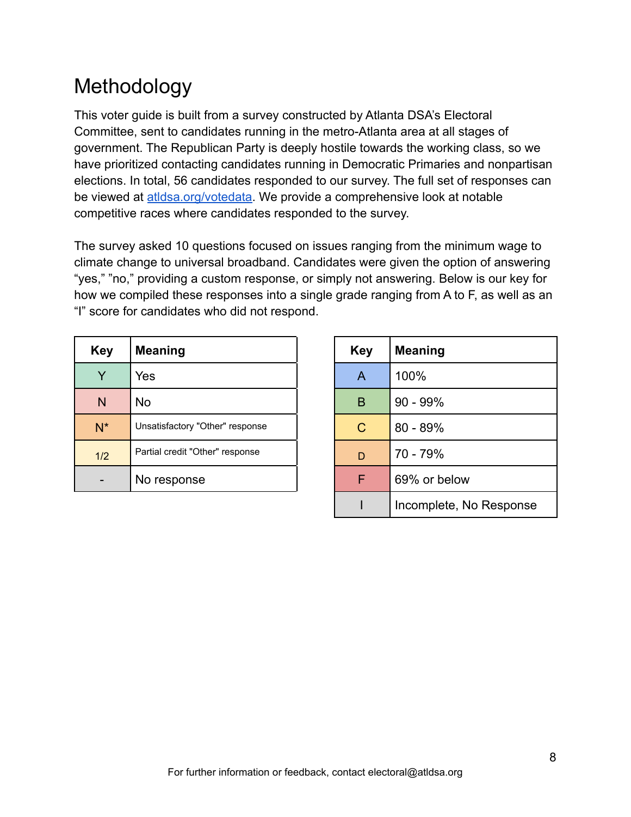## <span id="page-7-0"></span>Methodology

This voter guide is built from a survey constructed by Atlanta DSA's Electoral Committee, sent to candidates running in the metro-Atlanta area at all stages of government. The Republican Party is deeply hostile towards the working class, so we have prioritized contacting candidates running in Democratic Primaries and nonpartisan elections. In total, 56 candidates responded to our survey. The full set of responses can be viewed at [atldsa.org/votedata.](http://atldsa.org/votedata) We provide a comprehensive look at notable competitive races where candidates responded to the survey.

The survey asked 10 questions focused on issues ranging from the minimum wage to climate change to universal broadband. Candidates were given the option of answering "yes," "no," providing a custom response, or simply not answering. Below is our key for how we compiled these responses into a single grade ranging from A to F, as well as an "I" score for candidates who did not respond.

| <b>Key</b> | <b>Meaning</b>                  | <b>Key</b> | <b>Meaning</b> |
|------------|---------------------------------|------------|----------------|
| Y          | Yes                             | A          | 100%           |
| N          | <b>No</b>                       | B          | $90 - 99\%$    |
| $N^*$      | Unsatisfactory "Other" response | C          | $80 - 89%$     |
| 1/2        | Partial credit "Other" response | D          | 70 - 79%       |
|            | No response                     | F          | 69% or below   |

| Key          | <b>Meaning</b>          |
|--------------|-------------------------|
| A            | 100%                    |
| B            | 90 - 99%                |
| $\mathsf{C}$ | 80 - 89%                |
| D            | 70 - 79%                |
| F            | 69% or below            |
|              | Incomplete, No Response |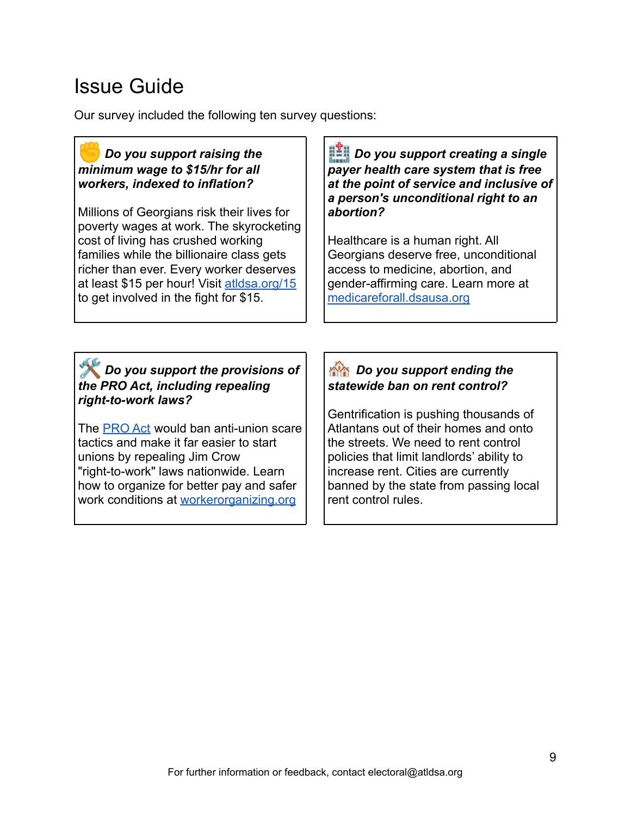## <span id="page-8-0"></span>Issue Guide

Our survey included the following ten survey questions:

#### ✊*Do you support raising the minimum wage to \$15/hr for all workers, indexed to inflation?*

Millions of Georgians risk their lives for poverty wages at work. The skyrocketing cost of living has crushed working families while the billionaire class gets richer than ever. Every worker deserves at least \$15 per hour! Visit [atldsa.org/15](https://atldsa.org/fight-for-15/) to get involved in the fight for \$15.

*Do you support creating a single payer health care system that is free at the point of service and inclusive of a person's unconditional right to an abortion?*

Healthcare is a human right. All Georgians deserve free, unconditional access to medicine, abortion, and gender-affirming care. Learn more at [medicareforall.dsausa.org](https://medicareforall.dsausa.org/)

#### *Do you support the provisions of the PRO Act, including repealing right-to-work laws?*

The [PRO Act](https://passtheproact.org/) would ban anti-union scare tactics and make it far easier to start unions by repealing Jim Crow "right-to-work" laws nationwide. Learn how to organize for better pay and safer work conditions at [workerorganizing.org](https://workerorganizing.org/)

#### *Do you support ending the statewide ban on rent control?*

Gentrification is pushing thousands of Atlantans out of their homes and onto the streets. We need to rent control policies that limit landlords' ability to increase rent. Cities are currently banned by the state from passing local rent control rules.